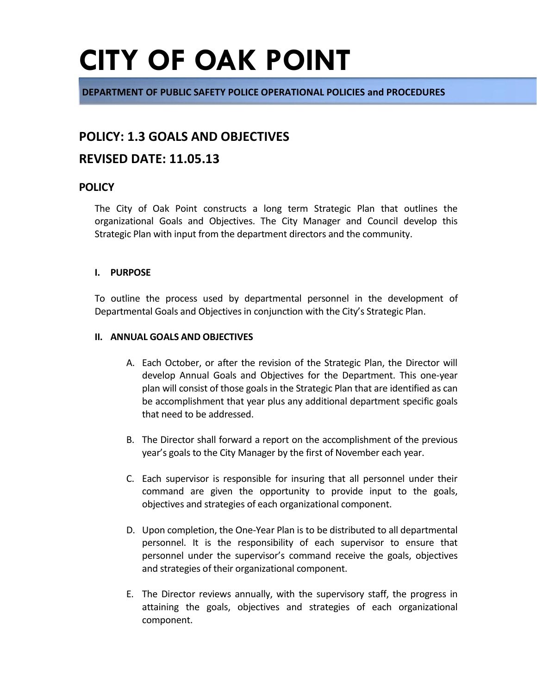# **CITY OF OAK POINT**

**DEPARTMENT OF PUBLIC SAFETY POLICE OPERATIONAL POLICIES and PROCEDURES**

## **POLICY: 1.3 GOALS AND OBJECTIVES**

## **REVISED DATE: 11.05.13**

### **POLICY**

The City of Oak Point constructs a long term Strategic Plan that outlines the organizational Goals and Objectives. The City Manager and Council develop this Strategic Plan with input from the department directors and the community.

### **I. PURPOSE**

To outline the process used by departmental personnel in the development of Departmental Goals and Objectives in conjunction with the City's Strategic Plan.

### **II. ANNUAL GOALS AND OBJECTIVES**

- A. Each October, or after the revision of the Strategic Plan, the Director will develop Annual Goals and Objectives for the Department. This one-year plan will consist of those goals in the Strategic Plan that are identified as can be accomplishment that year plus any additional department specific goals that need to be addressed.
- B. The Director shall forward a report on the accomplishment of the previous year's goals to the City Manager by the first of November each year.
- C. Each supervisor is responsible for insuring that all personnel under their command are given the opportunity to provide input to the goals, objectives and strategies of each organizational component.
- D. Upon completion, the One-Year Plan is to be distributed to all departmental personnel. It is the responsibility of each supervisor to ensure that personnel under the supervisor's command receive the goals, objectives and strategies of their organizational component.
- E. The Director reviews annually, with the supervisory staff, the progress in attaining the goals, objectives and strategies of each organizational component.